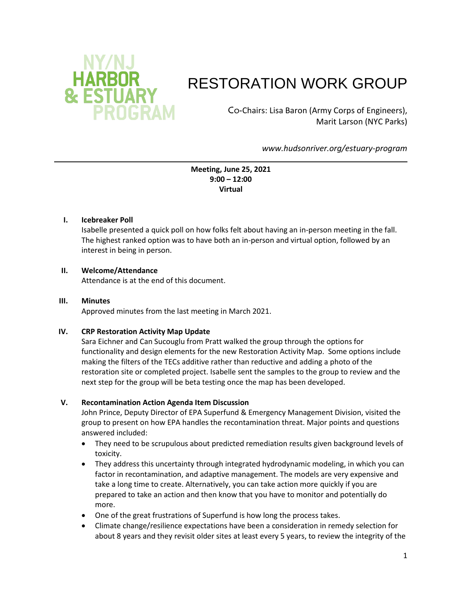

# RESTORATION WORK GROUP

Co-Chairs: Lisa Baron (Army Corps of Engineers), Marit Larson (NYC Parks)

*www.hudsonriver.org/estuary-program*

**Meeting, June 25, 2021 9:00 – 12:00 Virtual**

## **I. Icebreaker Poll**

Isabelle presented a quick poll on how folks felt about having an in-person meeting in the fall. The highest ranked option was to have both an in-person and virtual option, followed by an interest in being in person.

## **II. Welcome/Attendance**

Attendance is at the end of this document.

#### **III. Minutes**

Approved minutes from the last meeting in March 2021.

#### **IV. CRP Restoration Activity Map Update**

Sara Eichner and Can Sucouglu from Pratt walked the group through the options for functionality and design elements for the new Restoration Activity Map. Some options include making the filters of the TECs additive rather than reductive and adding a photo of the restoration site or completed project. Isabelle sent the samples to the group to review and the next step for the group will be beta testing once the map has been developed.

# **V. Recontamination Action Agenda Item Discussion**

John Prince, Deputy Director of EPA Superfund & Emergency Management Division, visited the group to present on how EPA handles the recontamination threat. Major points and questions answered included:

- They need to be scrupulous about predicted remediation results given background levels of toxicity.
- They address this uncertainty through integrated hydrodynamic modeling, in which you can factor in recontamination, and adaptive management. The models are very expensive and take a long time to create. Alternatively, you can take action more quickly if you are prepared to take an action and then know that you have to monitor and potentially do more.
- One of the great frustrations of Superfund is how long the process takes.
- Climate change/resilience expectations have been a consideration in remedy selection for about 8 years and they revisit older sites at least every 5 years, to review the integrity of the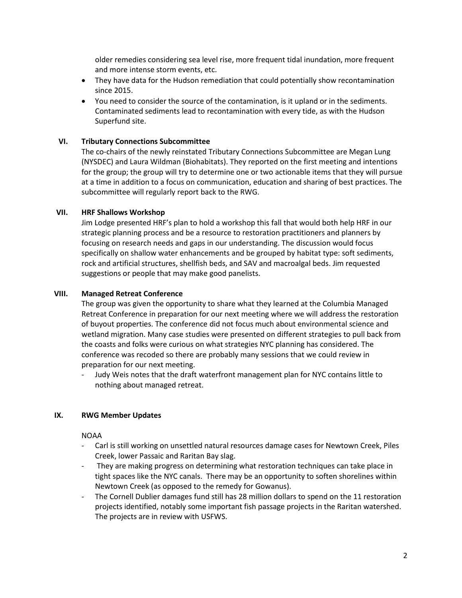older remedies considering sea level rise, more frequent tidal inundation, more frequent and more intense storm events, etc.

- They have data for the Hudson remediation that could potentially show recontamination since 2015.
- You need to consider the source of the contamination, is it upland or in the sediments. Contaminated sediments lead to recontamination with every tide, as with the Hudson Superfund site.

### **VI. Tributary Connections Subcommittee**

The co-chairs of the newly reinstated Tributary Connections Subcommittee are Megan Lung (NYSDEC) and Laura Wildman (Biohabitats). They reported on the first meeting and intentions for the group; the group will try to determine one or two actionable items that they will pursue at a time in addition to a focus on communication, education and sharing of best practices. The subcommittee will regularly report back to the RWG.

### **VII. HRF Shallows Workshop**

Jim Lodge presented HRF's plan to hold a workshop this fall that would both help HRF in our strategic planning process and be a resource to restoration practitioners and planners by focusing on research needs and gaps in our understanding. The discussion would focus specifically on shallow water enhancements and be grouped by habitat type: soft sediments, rock and artificial structures, shellfish beds, and SAV and macroalgal beds. Jim requested suggestions or people that may make good panelists.

#### **VIII. Managed Retreat Conference**

The group was given the opportunity to share what they learned at the Columbia Managed Retreat Conference in preparation for our next meeting where we will address the restoration of buyout properties. The conference did not focus much about environmental science and wetland migration. Many case studies were presented on different strategies to pull back from the coasts and folks were curious on what strategies NYC planning has considered. The conference was recoded so there are probably many sessions that we could review in preparation for our next meeting.

Judy Weis notes that the draft waterfront management plan for NYC contains little to nothing about managed retreat.

#### **IX. RWG Member Updates**

NOAA

- Carl is still working on unsettled natural resources damage cases for Newtown Creek, Piles Creek, lower Passaic and Raritan Bay slag.
- They are making progress on determining what restoration techniques can take place in tight spaces like the NYC canals. There may be an opportunity to soften shorelines within Newtown Creek (as opposed to the remedy for Gowanus).
- The Cornell Dublier damages fund still has 28 million dollars to spend on the 11 restoration projects identified, notably some important fish passage projects in the Raritan watershed. The projects are in review with USFWS.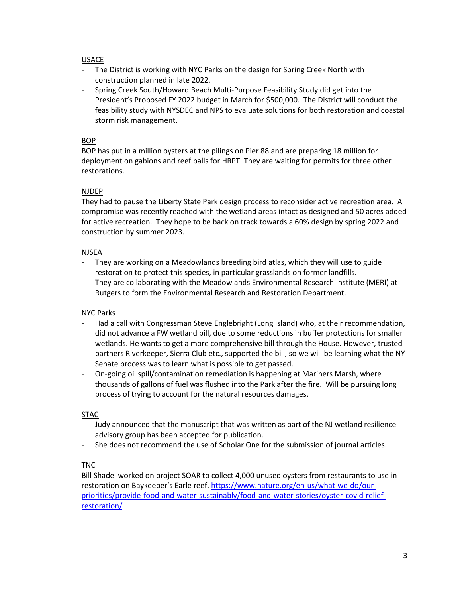## USACE

- The District is working with NYC Parks on the design for Spring Creek North with construction planned in late 2022.
- Spring Creek South/Howard Beach Multi-Purpose Feasibility Study did get into the President's Proposed FY 2022 budget in March for \$500,000. The District will conduct the feasibility study with NYSDEC and NPS to evaluate solutions for both restoration and coastal storm risk management.

## BOP

BOP has put in a million oysters at the pilings on Pier 88 and are preparing 18 million for deployment on gabions and reef balls for HRPT. They are waiting for permits for three other restorations.

## NJDEP

They had to pause the Liberty State Park design process to reconsider active recreation area. A compromise was recently reached with the wetland areas intact as designed and 50 acres added for active recreation. They hope to be back on track towards a 60% design by spring 2022 and construction by summer 2023.

## NJSEA

- They are working on a Meadowlands breeding bird atlas, which they will use to guide restoration to protect this species, in particular grasslands on former landfills.
- They are collaborating with the Meadowlands Environmental Research Institute (MERI) at Rutgers to form the Environmental Research and Restoration Department.

# NYC Parks

- Had a call with Congressman Steve Englebright (Long Island) who, at their recommendation, did not advance a FW wetland bill, due to some reductions in buffer protections for smaller wetlands. He wants to get a more comprehensive bill through the House. However, trusted partners Riverkeeper, Sierra Club etc., supported the bill, so we will be learning what the NY Senate process was to learn what is possible to get passed.
- On-going oil spill/contamination remediation is happening at Mariners Marsh, where thousands of gallons of fuel was flushed into the Park after the fire. Will be pursuing long process of trying to account for the natural resources damages.

# STAC

- Judy announced that the manuscript that was written as part of the NJ wetland resilience advisory group has been accepted for publication.
- She does not recommend the use of Scholar One for the submission of journal articles.

# TNC

Bill Shadel worked on project SOAR to collect 4,000 unused oysters from restaurants to use in restoration on Baykeeper's Earle reef[. https://www.nature.org/en-us/what-we-do/our](https://www.nature.org/en-us/what-we-do/our-priorities/provide-food-and-water-sustainably/food-and-water-stories/oyster-covid-relief-restoration/)[priorities/provide-food-and-water-sustainably/food-and-water-stories/oyster-covid-relief](https://www.nature.org/en-us/what-we-do/our-priorities/provide-food-and-water-sustainably/food-and-water-stories/oyster-covid-relief-restoration/)[restoration/](https://www.nature.org/en-us/what-we-do/our-priorities/provide-food-and-water-sustainably/food-and-water-stories/oyster-covid-relief-restoration/)